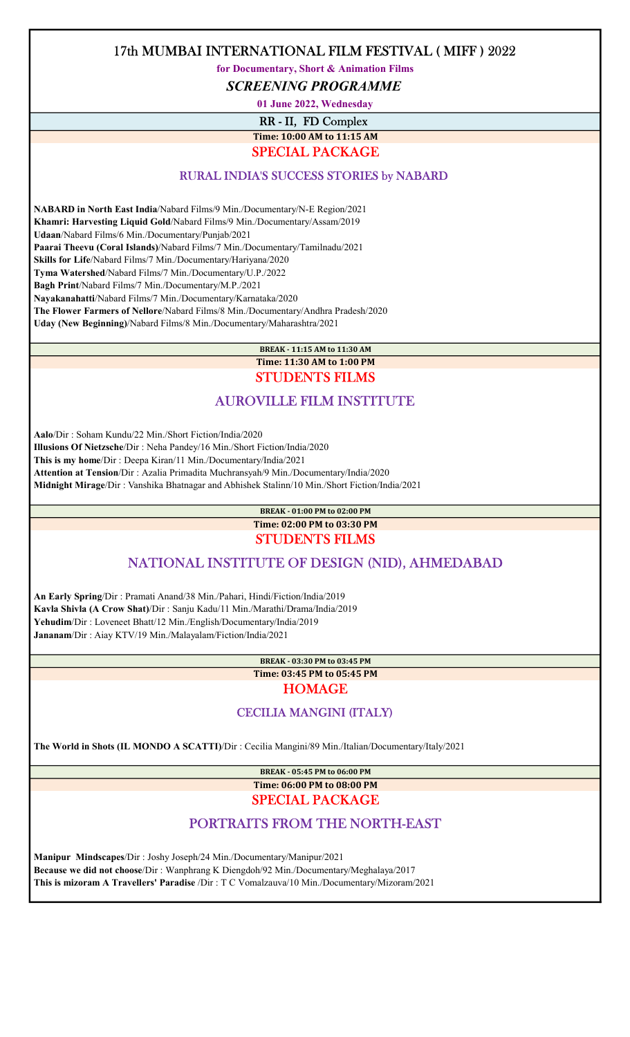for Documentary, Short & Animation Films

SCREENING PROGRAMME

01 June 2022, Wednesday

RR - II, FD Complex Time: 10:00 AM to 11:15 AM

## SPECIAL PACKAGE

#### RURAL INDIA'S SUCCESS STORIES by NABARD

 NABARD in North East India/Nabard Films/9 Min./Documentary/N-E Region/2021 Khamri: Harvesting Liquid Gold/Nabard Films/9 Min./Documentary/Assam/2019 Udaan/Nabard Films/6 Min./Documentary/Punjab/2021 Paarai Theevu (Coral Islands)/Nabard Films/7 Min./Documentary/Tamilnadu/2021 Skills for Life/Nabard Films/7 Min./Documentary/Hariyana/2020 Tyma Watershed/Nabard Films/7 Min./Documentary/U.P./2022 Bagh Print/Nabard Films/7 Min./Documentary/M.P./2021 Nayakanahatti/Nabard Films/7 Min./Documentary/Karnataka/2020 The Flower Farmers of Nellore/Nabard Films/8 Min./Documentary/Andhra Pradesh/2020 Uday (New Beginning)/Nabard Films/8 Min./Documentary/Maharashtra/2021

## BREAK - 11:15 AM to 11:30 AM Time: 11:30 AM to 1:00 PM

## STUDENTS FILMS

## AUROVILLE FILM INSTITUTE

 Aalo/Dir : Soham Kundu/22 Min./Short Fiction/India/2020 Illusions Of Nietzsche/Dir : Neha Pandey/16 Min./Short Fiction/India/2020 This is my home/Dir : Deepa Kiran/11 Min./Documentary/India/2021 Attention at Tension/Dir : Azalia Primadita Muchransyah/9 Min./Documentary/India/2020 Midnight Mirage/Dir : Vanshika Bhatnagar and Abhishek Stalinn/10 Min./Short Fiction/India/2021

> BREAK - 01:00 PM to 02:00 PM Time: 02:00 PM to 03:30 PM

#### STUDENTS FILMS

## NATIONAL INSTITUTE OF DESIGN (NID), AHMEDABAD

 An Early Spring/Dir : Pramati Anand/38 Min./Pahari, Hindi/Fiction/India/2019 Kavla Shivla (A Crow Shat)/Dir : Sanju Kadu/11 Min./Marathi/Drama/India/2019 Yehudim/Dir : Loveneet Bhatt/12 Min./English/Documentary/India/2019 Jananam/Dir : Aiay KTV/19 Min./Malayalam/Fiction/India/2021

BREAK - 03:30 PM to 03:45 PM

Time: 03:45 PM to 05:45 PM

**HOMAGE** 

### CECILIA MANGINI (ITALY)

The World in Shots (IL MONDO A SCATTI)/Dir : Cecilia Mangini/89 Min./Italian/Documentary/Italy/2021

BREAK - 05:45 PM to 06:00 PM

Time: 06:00 PM to 08:00 PM SPECIAL PACKAGE

## PORTRAITS FROM THE NORTH-EAST

 Manipur Mindscapes/Dir : Joshy Joseph/24 Min./Documentary/Manipur/2021 Because we did not choose/Dir : Wanphrang K Diengdoh/92 Min./Documentary/Meghalaya/2017 This is mizoram A Travellers' Paradise /Dir : T C Vomalzauva/10 Min./Documentary/Mizoram/2021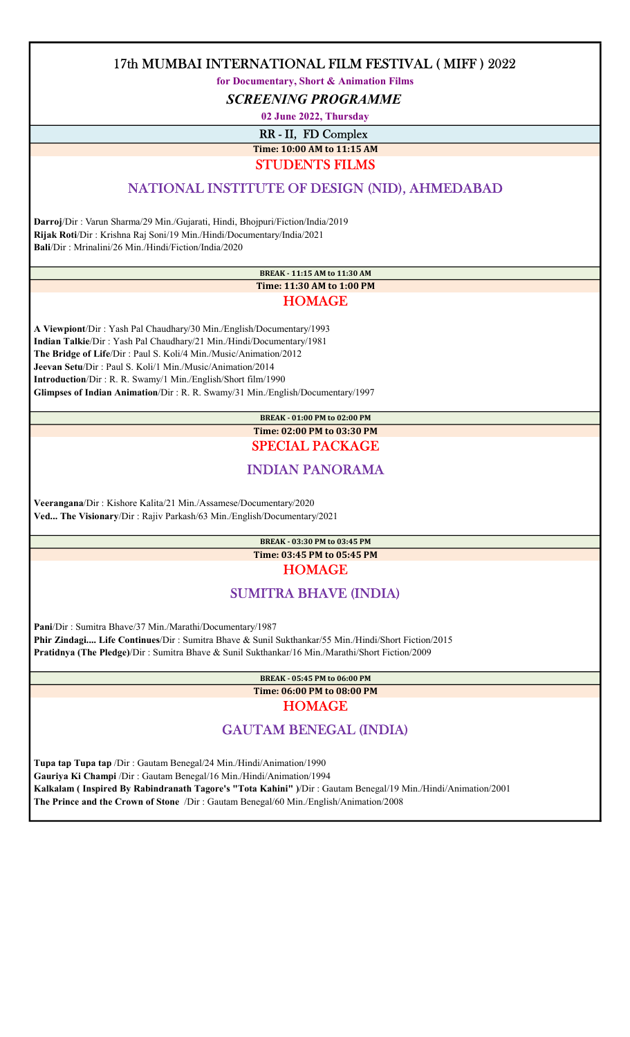for Documentary, Short & Animation Films

SCREENING PROGRAMME

02 June 2022, Thursday

RR - II, FD Complex

Time: 10:00 AM to 11:15 AM

STUDENTS FILMS

## NATIONAL INSTITUTE OF DESIGN (NID), AHMEDABAD

 Darroj/Dir : Varun Sharma/29 Min./Gujarati, Hindi, Bhojpuri/Fiction/India/2019 Rijak Roti/Dir : Krishna Raj Soni/19 Min./Hindi/Documentary/India/2021 Bali/Dir : Mrinalini/26 Min./Hindi/Fiction/India/2020

#### BREAK - 11:15 AM to 11:30 AM Time: 11:30 AM to 1:00 PM HOMAGE

 A Viewpiont/Dir : Yash Pal Chaudhary/30 Min./English/Documentary/1993 Indian Talkie/Dir : Yash Pal Chaudhary/21 Min./Hindi/Documentary/1981 The Bridge of Life/Dir : Paul S. Koli/4 Min./Music/Animation/2012 Jeevan Setu/Dir : Paul S. Koli/1 Min./Music/Animation/2014 Introduction/Dir : R. R. Swamy/1 Min./English/Short film/1990 Glimpses of Indian Animation/Dir : R. R. Swamy/31 Min./English/Documentary/1997

### BREAK - 01:00 PM to 02:00 PM Time: 02:00 PM to 03:30 PM SPECIAL PACKAGE

# INDIAN PANORAMA

 Veerangana/Dir : Kishore Kalita/21 Min./Assamese/Documentary/2020 Ved... The Visionary/Dir : Rajiv Parkash/63 Min./English/Documentary/2021

#### BREAK - 03:30 PM to 03:45 PM Time: 03:45 PM to 05:45 PM HOMAGE

# SUMITRA BHAVE (INDIA)

 Pani/Dir : Sumitra Bhave/37 Min./Marathi/Documentary/1987 Phir Zindagi.... Life Continues/Dir : Sumitra Bhave & Sunil Sukthankar/55 Min./Hindi/Short Fiction/2015 Pratidnya (The Pledge)/Dir : Sumitra Bhave & Sunil Sukthankar/16 Min./Marathi/Short Fiction/2009

> BREAK - 05:45 PM to 06:00 PM Time: 06:00 PM to 08:00 PM HOMAGE

# GAUTAM BENEGAL (INDIA)

 Tupa tap Tupa tap /Dir : Gautam Benegal/24 Min./Hindi/Animation/1990 Gauriya Ki Champi /Dir : Gautam Benegal/16 Min./Hindi/Animation/1994 Kalkalam ( Inspired By Rabindranath Tagore's "Tota Kahini" )/Dir : Gautam Benegal/19 Min./Hindi/Animation/2001 The Prince and the Crown of Stone /Dir : Gautam Benegal/60 Min./English/Animation/2008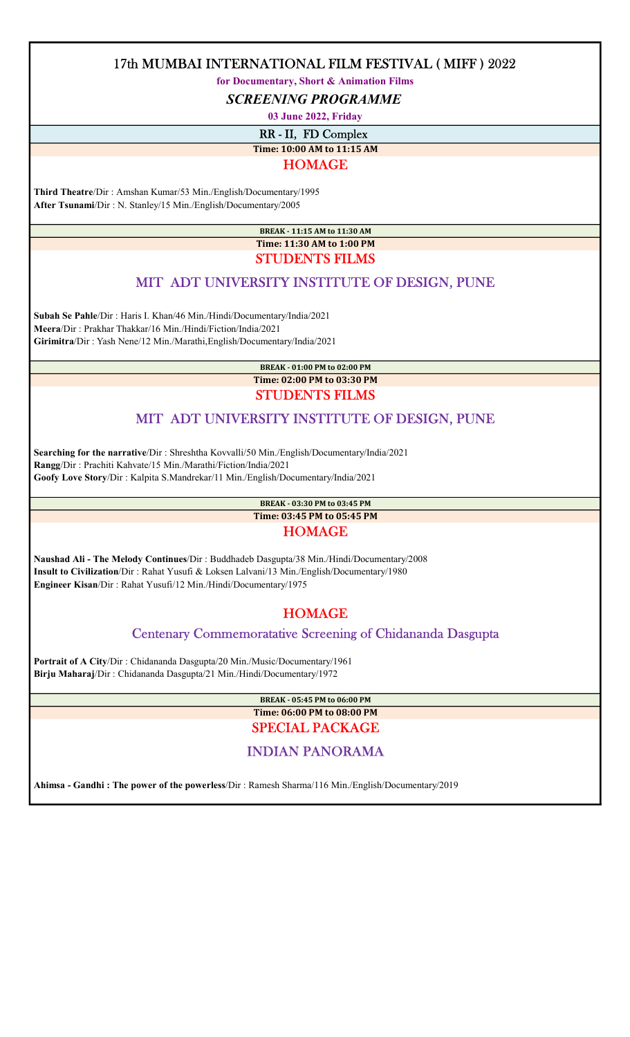for Documentary, Short & Animation Films

SCREENING PROGRAMME

03 June 2022, Friday

RR - II, FD Complex

Time: 10:00 AM to 11:15 AM

### HOMAGE

 Third Theatre/Dir : Amshan Kumar/53 Min./English/Documentary/1995 After Tsunami/Dir : N. Stanley/15 Min./English/Documentary/2005

> BREAK - 11:15 AM to 11:30 AM Time: 11:30 AM to 1:00 PM STUDENTS FILMS

## MIT ADT UNIVERSITY INSTITUTE OF DESIGN, PUNE

 Subah Se Pahle/Dir : Haris I. Khan/46 Min./Hindi/Documentary/India/2021 Meera/Dir : Prakhar Thakkar/16 Min./Hindi/Fiction/India/2021 Girimitra/Dir : Yash Nene/12 Min./Marathi,English/Documentary/India/2021

> BREAK - 01:00 PM to 02:00 PM Time: 02:00 PM to 03:30 PM STUDENTS FILMS

# MIT ADT UNIVERSITY INSTITUTE OF DESIGN, PUNE

 Searching for the narrative/Dir : Shreshtha Kovvalli/50 Min./English/Documentary/India/2021 Rangg/Dir : Prachiti Kahvate/15 Min./Marathi/Fiction/India/2021 Goofy Love Story/Dir : Kalpita S.Mandrekar/11 Min./English/Documentary/India/2021

> BREAK - 03:30 PM to 03:45 PM Time: 03:45 PM to 05:45 PM

### HOMAGE

 Naushad Ali - The Melody Continues/Dir : Buddhadeb Dasgupta/38 Min./Hindi/Documentary/2008 Insult to Civilization/Dir : Rahat Yusufi & Loksen Lalvani/13 Min./English/Documentary/1980 Engineer Kisan/Dir : Rahat Yusufi/12 Min./Hindi/Documentary/1975

# **HOMAGE**

## Centenary Commemoratative Screening of Chidananda Dasgupta

 Portrait of A City/Dir : Chidananda Dasgupta/20 Min./Music/Documentary/1961 Birju Maharaj/Dir : Chidananda Dasgupta/21 Min./Hindi/Documentary/1972

> BREAK - 05:45 PM to 06:00 PM Time: 06:00 PM to 08:00 PM

# SPECIAL PACKAGE

## INDIAN PANORAMA

Ahimsa - Gandhi : The power of the powerless/Dir : Ramesh Sharma/116 Min./English/Documentary/2019